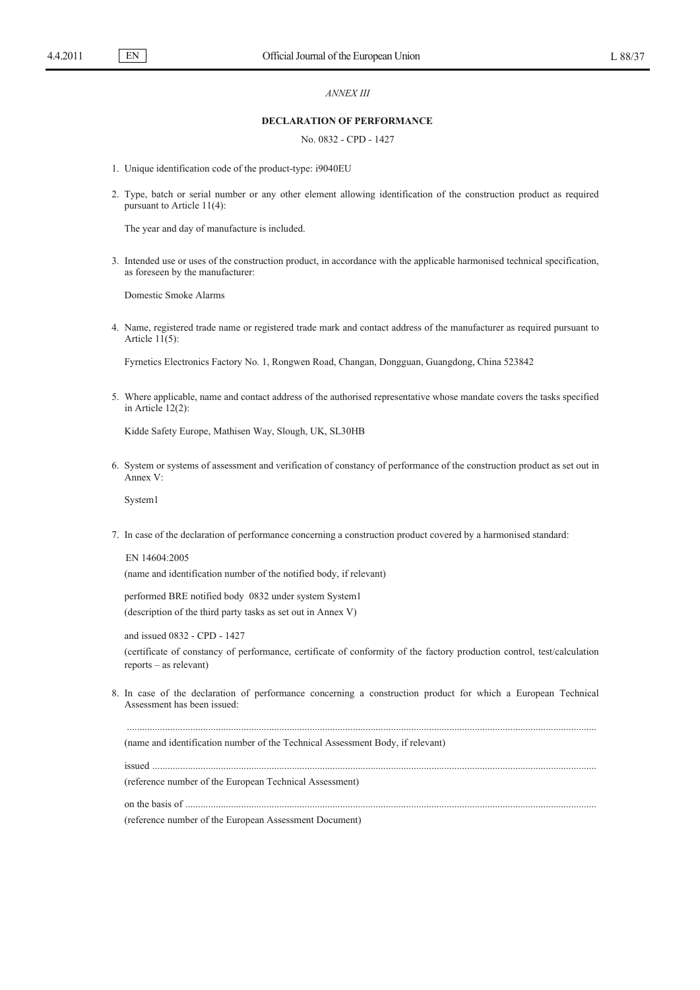# *ANNEX III*

# **DECLARATION OF PERFORMANCE**

# No. 0832 - CPD - 1427

- 1. Unique identification code of the product-type: i9040EU
- 2. Type, batch or serial number or any other element allowing identification of the construction product as required pursuant to Article 11(4):

The year and day of manufacture is included.

3. Intended use or uses of the construction product, in accordance with the applicable harmonised technical specification, as foreseen by the manufacturer:

Domestic Smoke Alarms

4. Name, registered trade name or registered trade mark and contact address of the manufacturer as required pursuant to Article  $11(5)$ :

Fyrnetics Electronics Factory No. 1, Rongwen Road, Changan, Dongguan, Guangdong, China 523842

5. Where applicable, name and contact address of the authorised representative whose mandate covers the tasks specified in Article 12(2):

Kidde Safety Europe, Mathisen Way, Slough, UK, SL30HB

6. System or systems of assessment and verification of constancy of performance of the construction product as set out in Annex V:

System1

7. In case of the declaration of performance concerning a construction product covered by a harmonised standard:

EN 14604:2005 (name and identification number of the notified body, if relevant)

performed BRE notified body 0832 under system System1 (description of the third party tasks as set out in Annex V)

and issued 0832 - CPD - 1427 (certificate of constancy of performance, certificate of conformity of the factory production control, test/calculation reports – as relevant)

8. In case of the declaration of performance concerning a construction product for which a European Technical Assessment has been issued:

.........................................................................................................................................................................................

(name and identification number of the Technical Assessment Body, if relevant)

issued ...............................................................................................................................................................................

(reference number of the European Technical Assessment)

on the basis of ..................................................................................................................................................................

(reference number of the European Assessment Document)